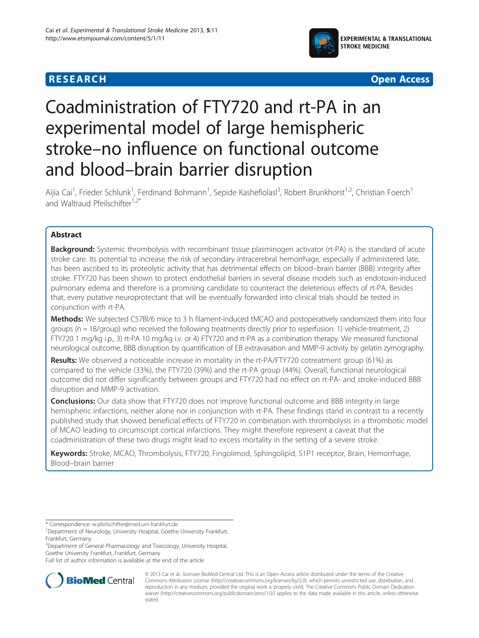



# Coadministration of FTY720 and rt-PA in an experimental model of large hemispheric stroke–no influence on functional outcome and blood–brain barrier disruption

Aijia Cai<sup>1</sup>, Frieder Schlunk<sup>1</sup>, Ferdinand Bohmann<sup>1</sup>, Sepide Kashefiolasl<sup>3</sup>, Robert Brunkhorst<sup>1,2</sup>, Christian Foerch<sup>1</sup> and Waltraud Pfeilschifter $1.2$ <sup>\*</sup>

# Abstract

Background: Systemic thrombolysis with recombinant tissue plasminogen activator (rt-PA) is the standard of acute stroke care. Its potential to increase the risk of secondary intracerebral hemorrhage, especially if administered late, has been ascribed to its proteolytic activity that has detrimental effects on blood–brain barrier (BBB) integrity after stroke. FTY720 has been shown to protect endothelial barriers in several disease models such as endotoxin-induced pulmonary edema and therefore is a promising candidate to counteract the deleterious effects of rt-PA. Besides that, every putative neuroprotectant that will be eventually forwarded into clinical trials should be tested in conjunction with rt-PA.

Methods: We subjected C57Bl/6 mice to 3 h filament-induced tMCAO and postoperatively randomized them into four groups (n = 18/group) who received the following treatments directly prior to reperfusion: 1) vehicle-treatment, 2) FTY720 1 mg/kg i.p., 3) rt-PA 10 mg/kg i.v. or 4) FTY720 and rt-PA as a combination therapy. We measured functional neurological outcome, BBB disruption by quantification of EB extravasation and MMP-9 activity by gelatin zymography.

Results: We observed a noticeable increase in mortality in the rt-PA/FTY720 cotreatment group (61%) as compared to the vehicle (33%), the FTY720 (39%) and the rt-PA group (44%). Overall, functional neurological outcome did not differ significantly between groups and FTY720 had no effect on rt-PA- and stroke-induced BBB disruption and MMP-9 activation.

**Conclusions:** Our data show that FTY720 does not improve functional outcome and BBB integrity in large hemispheric infarctions, neither alone nor in conjunction with rt-PA. These findings stand in contrast to a recently published study that showed beneficial effects of FTY720 in combination with thrombolysis in a thrombotic model of MCAO leading to circumscript cortical infarctions. They might therefore represent a caveat that the coadministration of these two drugs might lead to excess mortality in the setting of a severe stroke.

Keywords: Stroke, MCAO, Thrombolysis, FTY720, Fingolimod, Sphingolipid, S1P1 receptor, Brain, Hemorrhage, Blood–brain barrier

Full list of author information is available at the end of the article



© 2013 Cai et al.; licensee BioMed Central Ltd. This is an Open Access article distributed under the terms of the Creative Commons Attribution License [\(http://creativecommons.org/licenses/by/2.0\)](http://creativecommons.org/licenses/by/2.0), which permits unrestricted use, distribution, and reproduction in any medium, provided the original work is properly cited. The Creative Commons Public Domain Dedication waiver [\(http://creativecommons.org/publicdomain/zero/1.0/\)](http://creativecommons.org/publicdomain/zero/1.0/) applies to the data made available in this article, unless otherwise stated.

<sup>\*</sup> Correspondence: [w.pfeilschifter@med.uni-frankfurt.de](mailto:w.pfeilschifter@med.uni-frankfurt.de) <sup>1</sup>

<sup>&</sup>lt;sup>1</sup>Department of Neurology, University Hospital, Goethe University Frankfurt, Frankfurt, Germany

<sup>2</sup> Department of General Pharmacology and Toxicology, University Hospital, Goethe University Frankfurt, Frankfurt, Germany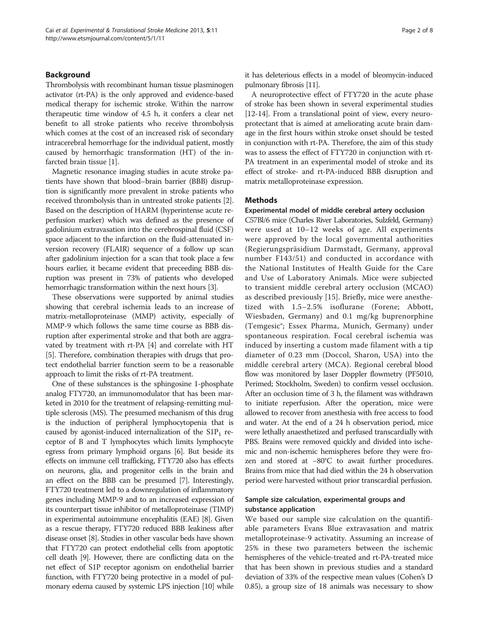#### Background

Thrombolysis with recombinant human tissue plasminogen activator (rt-PA) is the only approved and evidence-based medical therapy for ischemic stroke. Within the narrow therapeutic time window of 4.5 h, it confers a clear net benefit to all stroke patients who receive thrombolysis which comes at the cost of an increased risk of secondary intracerebral hemorrhage for the individual patient, mostly caused by hemorrhagic transformation (HT) of the infarcted brain tissue [\[1\]](#page-7-0).

Magnetic resonance imaging studies in acute stroke patients have shown that blood–brain barrier (BBB) disruption is significantly more prevalent in stroke patients who received thrombolysis than in untreated stroke patients [[2](#page-7-0)]. Based on the description of HARM (hyperintense acute reperfusion marker) which was defined as the presence of gadolinium extravasation into the cerebrospinal fluid (CSF) space adjacent to the infarction on the fluid-attenuated inversion recovery (FLAIR) sequence of a follow up scan after gadolinium injection for a scan that took place a few hours earlier, it became evident that preceeding BBB disruption was present in 73% of patients who developed hemorrhagic transformation within the next hours [[3](#page-7-0)].

These observations were supported by animal studies showing that cerebral ischemia leads to an increase of matrix-metalloproteinase (MMP) activity, especially of MMP-9 which follows the same time course as BBB disruption after experimental stroke and that both are aggravated by treatment with rt-PA [[4\]](#page-7-0) and correlate with HT [[5\]](#page-7-0). Therefore, combination therapies with drugs that protect endothelial barrier function seem to be a reasonable approach to limit the risks of rt-PA treatment.

One of these substances is the sphingosine 1-phosphate analog FTY720, an immunomodulator that has been marketed in 2010 for the treatment of relapsing-remitting multiple sclerosis (MS). The presumed mechanism of this drug is the induction of peripheral lymphocytopenia that is caused by agonist-induced internalization of the  $S1P_1$  receptor of B and T lymphocytes which limits lymphocyte egress from primary lymphoid organs [[6\]](#page-7-0). But beside its effects on immune cell trafficking, FTY720 also has effects on neurons, glia, and progenitor cells in the brain and an effect on the BBB can be presumed [\[7\]](#page-7-0). Interestingly, FTY720 treatment led to a downregulation of inflammatory genes including MMP-9 and to an increased expression of its counterpart tissue inhibitor of metalloproteinase (TIMP) in experimental autoimmune encephalitis (EAE) [\[8\]](#page-7-0). Given as a rescue therapy, FTY720 reduced BBB leakiness after disease onset [\[8\]](#page-7-0). Studies in other vascular beds have shown that FTY720 can protect endothelial cells from apoptotic cell death [[9](#page-7-0)]. However, there are conflicting data on the net effect of S1P receptor agonism on endothelial barrier function, with FTY720 being protective in a model of pulmonary edema caused by systemic LPS injection [\[10\]](#page-7-0) while it has deleterious effects in a model of bleomycin-induced pulmonary fibrosis [\[11\]](#page-7-0).

A neuroprotective effect of FTY720 in the acute phase of stroke has been shown in several experimental studies [[12](#page-7-0)-[14\]](#page-7-0). From a translational point of view, every neuroprotectant that is aimed at ameliorating acute brain damage in the first hours within stroke onset should be tested in conjunction with rt-PA. Therefore, the aim of this study was to assess the effect of FTY720 in conjunction with rt-PA treatment in an experimental model of stroke and its effect of stroke- and rt-PA-induced BBB disruption and matrix metalloproteinase expression.

#### Methods

#### Experimental model of middle cerebral artery occlusion

C57Bl/6 mice (Charles River Laboratories, Sulzfeld, Germany) were used at 10–12 weeks of age. All experiments were approved by the local governmental authorities (Regierungspräsidium Darmstadt, Germany, approval number F143/51) and conducted in accordance with the National Institutes of Health Guide for the Care and Use of Laboratory Animals. Mice were subjected to transient middle cerebral artery occlusion (MCAO) as described previously [\[15](#page-7-0)]. Briefly, mice were anesthetized with 1.5–2.5% isoflurane (Forene; Abbott, Wiesbaden, Germany) and 0.1 mg/kg buprenorphine (Temgesic®; Essex Pharma, Munich, Germany) under spontaneous respiration. Focal cerebral ischemia was induced by inserting a custom made filament with a tip diameter of 0.23 mm (Doccol, Sharon, USA) into the middle cerebral artery (MCA). Regional cerebral blood flow was monitored by laser Doppler flowmetry (PF5010, Perimed; Stockholm, Sweden) to confirm vessel occlusion. After an occlusion time of 3 h, the filament was withdrawn to initiate reperfusion. After the operation, mice were allowed to recover from anesthesia with free access to food and water. At the end of a 24 h observation period, mice were lethally anaesthetized and perfused transcardially with PBS. Brains were removed quickly and divided into ischemic and non-ischemic hemispheres before they were frozen and stored at −80°C to await further procedures. Brains from mice that had died within the 24 h observation period were harvested without prior transcardial perfusion.

### Sample size calculation, experimental groups and substance application

We based our sample size calculation on the quantifiable parameters Evans Blue extravasation and matrix metalloproteinase-9 activatity. Assuming an increase of 25% in these two parameters between the ischemic hemispheres of the vehicle-treated and rt-PA-treated mice that has been shown in previous studies and a standard deviation of 33% of the respective mean values (Cohen's D 0.85), a group size of 18 animals was necessary to show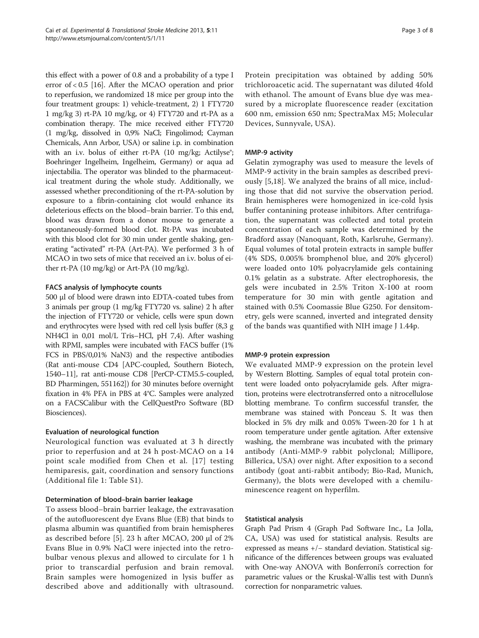this effect with a power of 0.8 and a probability of a type I error of < 0.5 [\[16\]](#page-7-0). After the MCAO operation and prior to reperfusion, we randomized 18 mice per group into the four treatment groups: 1) vehicle-treatment, 2) 1 FTY720 1 mg/kg 3) rt-PA 10 mg/kg, or 4) FTY720 and rt-PA as a combination therapy. The mice received either FTY720 (1 mg/kg, dissolved in 0,9% NaCl; Fingolimod; Cayman Chemicals, Ann Arbor, USA) or saline i.p. in combination with an i.v. bolus of either rt-PA (10 mg/kg; Actilyse®; Boehringer Ingelheim, Ingelheim, Germany) or aqua ad injectabilia. The operator was blinded to the pharmaceutical treatment during the whole study. Additionally, we assessed whether preconditioning of the rt-PA-solution by exposure to a fibrin-containing clot would enhance its deleterious effects on the blood–brain barrier. To this end, blood was drawn from a donor mouse to generate a spontaneously-formed blood clot. Rt-PA was incubated with this blood clot for 30 min under gentle shaking, generating "activated" rt-PA (Art-PA). We performed 3 h of MCAO in two sets of mice that received an i.v. bolus of either rt-PA (10 mg/kg) or Art-PA (10 mg/kg).

## FACS analysis of lymphocyte counts

500 μl of blood were drawn into EDTA-coated tubes from 3 animals per group (1 mg/kg FTY720 vs. saline) 2 h after the injection of FTY720 or vehicle, cells were spun down and erythrocytes were lysed with red cell lysis buffer (8,3 g NH4Cl in 0,01 mol/L Tris–HCl, pH 7,4). After washing with RPMI, samples were incubated with FACS buffer (1% FCS in PBS/0,01% NaN3) and the respective antibodies (Rat anti-mouse CD4 [APC-coupled, Southern Biotech, 1540–11], rat anti-mouse CD8 [PerCP-CTM5.5-coupled, BD Pharmingen, 551162]) for 30 minutes before overnight fixation in 4% PFA in PBS at 4°C. Samples were analyzed on a FACSCalibur with the CellQuestPro Software (BD Biosciences).

## Evaluation of neurological function

Neurological function was evaluated at 3 h directly prior to reperfusion and at 24 h post-MCAO on a 14 point scale modified from Chen et al. [\[17\]](#page-7-0) testing hemiparesis, gait, coordination and sensory functions (Additional file [1](#page-6-0): Table S1).

## Determination of blood–brain barrier leakage

To assess blood–brain barrier leakage, the extravasation of the autofluorescent dye Evans Blue (EB) that binds to plasma albumin was quantified from brain hemispheres as described before [[5\]](#page-7-0). 23 h after MCAO, 200 μl of 2% Evans Blue in 0.9% NaCl were injected into the retrobulbar venous plexus and allowed to circulate for 1 h prior to transcardial perfusion and brain removal. Brain samples were homogenized in lysis buffer as described above and additionally with ultrasound.

Protein precipitation was obtained by adding 50% trichloroacetic acid. The supernatant was diluted 4fold with ethanol. The amount of Evans blue dye was measured by a microplate fluorescence reader (excitation 600 nm, emission 650 nm; SpectraMax M5; Molecular Devices, Sunnyvale, USA).

# MMP-9 activity

Gelatin zymography was used to measure the levels of MMP-9 activity in the brain samples as described previously [[5,18\]](#page-7-0). We analyzed the brains of all mice, including those that did not survive the observation period. Brain hemispheres were homogenized in ice-cold lysis buffer contanining protease inhibitors. After centrifugation, the supernatant was collected and total protein concentration of each sample was determined by the Bradford assay (Nanoquant, Roth, Karlsruhe, Germany). Equal volumes of total protein extracts in sample buffer (4% SDS, 0.005% bromphenol blue, and 20% glycerol) were loaded onto 10% polyacrylamide gels containing 0.1% gelatin as a substrate. After electrophoresis, the gels were incubated in 2.5% Triton X-100 at room temperature for 30 min with gentle agitation and stained with 0.5% Coomassie Blue G250. For densitometry, gels were scanned, inverted and integrated density of the bands was quantified with NIH image J 1.44p.

## MMP-9 protein expression

We evaluated MMP-9 expression on the protein level by Western Blotting. Samples of equal total protein content were loaded onto polyacrylamide gels. After migration, proteins were electrotransferred onto a nitrocellulose blotting membrane. To confirm successful transfer, the membrane was stained with Ponceau S. It was then blocked in 5% dry milk and 0.05% Tween-20 for 1 h at room temperature under gentle agitation. After extensive washing, the membrane was incubated with the primary antibody (Anti-MMP-9 rabbit polyclonal; Millipore, Billerica, USA) over night. After exposition to a second antibody (goat anti-rabbit antibody; Bio-Rad, Munich, Germany), the blots were developed with a chemiluminescence reagent on hyperfilm.

# Statistical analysis

Graph Pad Prism 4 (Graph Pad Software Inc., La Jolla, CA, USA) was used for statistical analysis. Results are expressed as means +/− standard deviation. Statistical significance of the differences between groups was evaluated with One-way ANOVA with Bonferroni's correction for parametric values or the Kruskal-Wallis test with Dunn's correction for nonparametric values.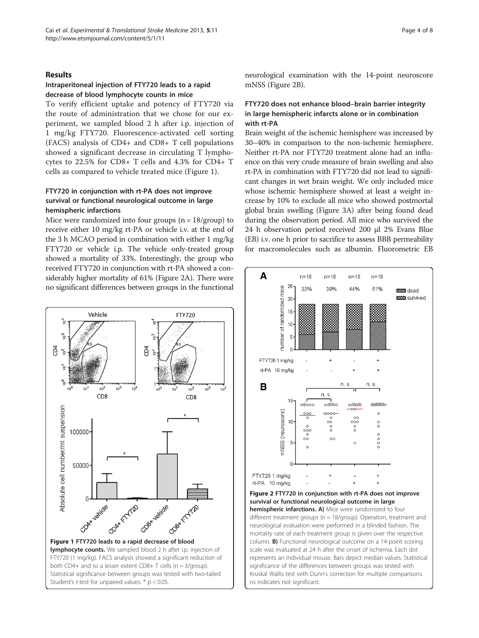#### Results

## Intraperitoneal injection of FTY720 leads to a rapid decrease of blood lymphocyte counts in mice

To verify efficient uptake and potency of FTY720 via the route of administration that we chose for our experiment, we sampled blood 2 h after i.p. injection of 1 mg/kg FTY720. Fluorescence-activated cell sorting (FACS) analysis of CD4+ and CD8+ T cell populations showed a significant decrease in circulating T lymphocytes to 22.5% for CD8+ T cells and 4.3% for CD4+ T cells as compared to vehicle treated mice (Figure 1).

# FTY720 in conjunction with rt-PA does not improve survival or functional neurological outcome in large hemispheric infarctions

Mice were randomized into four groups  $(n = 18/$ group) to receive either 10 mg/kg rt-PA or vehicle i.v. at the end of the 3 h MCAO period in combination with either 1 mg/kg FTY720 or vehicle i.p. The vehicle only-treated group showed a mortality of 33%. Interestingly, the group who received FTY720 in conjunction with rt-PA showed a considerably higher mortality of 61% (Figure 2A). There were no significant differences between groups in the functional



neurological examination with the 14-point neuroscore mNSS (Figure 2B).

# FTY720 does not enhance blood–brain barrier integrity in large hemispheric infarcts alone or in combination with rt-PA

Brain weight of the ischemic hemisphere was increased by 30–40% in comparison to the non-ischemic hemisphere. Neither rt-PA nor FTY720 treatment alone had an influence on this very crude measure of brain swelling and also rt-PA in combination with FTY720 did not lead to significant changes in wet brain weight. We only included mice whose ischemic hemisphere showed at least a weight increase by 10% to exclude all mice who showed postmortal global brain swelling (Figure [3](#page-4-0)A) after being found dead during the observation period. All mice who survived the 24 h observation period received 200 μl 2% Evans Blue (EB) i.v. one h prior to sacrifice to assess BBB permeability for macromolecules such as albumin. Fluorometric EB



different treatment groups (n = 18/group). Operation, treatment and neurological evaluation were performed in a blinded fashion. The mortality rate of each treatment group is given over the respective column. B) Functional neurological outcome on a 14-point scoring scale was evaluated at 24 h after the onset of ischemia. Each dot represents an individual mouse. Bars depict median values. Statistical significance of the differences between groups was tested with Kruskal Wallis test with Dunn's correction for multiple comparisons. ns indicates not significant.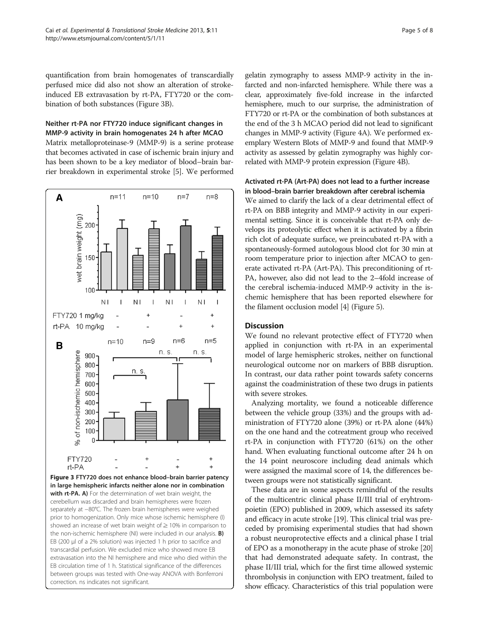<span id="page-4-0"></span>quantification from brain homogenates of transcardially perfused mice did also not show an alteration of strokeinduced EB extravasation by rt-PA, FTY720 or the combination of both substances (Figure 3B).

## Neither rt-PA nor FTY720 induce significant changes in MMP-9 activity in brain homogenates 24 h after MCAO

Matrix metalloproteinase-9 (MMP-9) is a serine protease that becomes activated in case of ischemic brain injury and has been shown to be a key mediator of blood–brain barrier breakdown in experimental stroke [\[5\]](#page-7-0). We performed



EB circulation time of 1 h. Statistical significance of the differences between groups was tested with One-way ANOVA with Bonferroni

correction. ns indicates not significant.

gelatin zymography to assess MMP-9 activity in the infarcted and non-infarcted hemisphere. While there was a clear, approximately five-fold increase in the infarcted hemisphere, much to our surprise, the administration of FTY720 or rt-PA or the combination of both substances at the end of the 3 h MCAO period did not lead to significant changes in MMP-9 activity (Figure [4](#page-5-0)A). We performed exemplary Western Blots of MMP-9 and found that MMP-9 activity as assessed by gelatin zymography was highly correlated with MMP-9 protein expression (Figure [4B](#page-5-0)).

## Activated rt-PA (Art-PA) does not lead to a further increase in blood–brain barrier breakdown after cerebral ischemia

We aimed to clarify the lack of a clear detrimental effect of rt-PA on BBB integrity and MMP-9 activity in our experimental setting. Since it is conceivable that rt-PA only develops its proteolytic effect when it is activated by a fibrin rich clot of adequate surface, we preincubated rt-PA with a spontaneously-formed autologous blood clot for 30 min at room temperature prior to injection after MCAO to generate activated rt-PA (Art-PA). This preconditioning of rt-PA, however, also did not lead to the 2–4fold increase of the cerebral ischemia-induced MMP-9 activity in the ischemic hemisphere that has been reported elsewhere for the filament occlusion model [\[4](#page-7-0)] (Figure [5\)](#page-6-0).

## **Discussion**

We found no relevant protective effect of FTY720 when applied in conjunction with rt-PA in an experimental model of large hemispheric strokes, neither on functional neurological outcome nor on markers of BBB disruption. In contrast, our data rather point towards safety concerns against the coadministration of these two drugs in patients with severe strokes.

Analyzing mortality, we found a noticeable difference between the vehicle group (33%) and the groups with administration of FTY720 alone (39%) or rt-PA alone (44%) on the one hand and the cotreatment group who received rt-PA in conjunction with FTY720 (61%) on the other hand. When evaluating functional outcome after 24 h on the 14 point neuroscore including dead animals which were assigned the maximal score of 14, the differences between groups were not statistically significant.

These data are in some aspects remindful of the results of the multicentric clinical phase II/III trial of eryhtrompoietin (EPO) published in 2009, which assessed its safety and efficacy in acute stroke [\[19\]](#page-7-0). This clinical trial was preceded by promising experimental studies that had shown a robust neuroprotective effects and a clinical phase I trial of EPO as a monotherapy in the acute phase of stroke [[20](#page-7-0)] that had demonstrated adequate safety. In contrast, the phase II/III trial, which for the first time allowed systemic thrombolysis in conjunction with EPO treatment, failed to show efficacy. Characteristics of this trial population were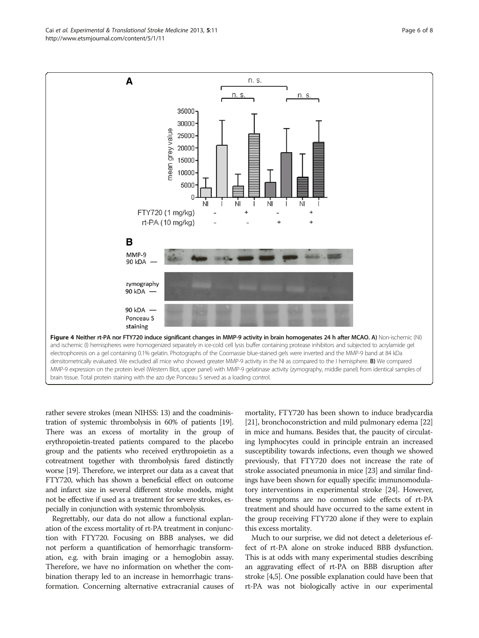rather severe strokes (mean NIHSS: 13) and the coadministration of systemic thrombolysis in 60% of patients [\[19](#page-7-0)]. There was an excess of mortality in the group of erythropoietin-treated patients compared to the placebo group and the patients who received erythropoietin as a cotreatment together with thrombolysis fared distinctly worse [\[19\]](#page-7-0). Therefore, we interpret our data as a caveat that FTY720, which has shown a beneficial effect on outcome and infarct size in several different stroke models, might not be effective if used as a treatment for severe strokes, especially in conjunction with systemic thrombolysis.

Regrettably, our data do not allow a functional explanation of the excess mortality of rt-PA treatment in conjunction with FTY720. Focusing on BBB analyses, we did not perform a quantification of hemorrhagic transformation, e.g. with brain imaging or a hemoglobin assay. Therefore, we have no information on whether the combination therapy led to an increase in hemorrhagic transformation. Concerning alternative extracranial causes of

mortality, FTY720 has been shown to induce bradycardia [[21](#page-7-0)], bronchoconstriction and mild pulmonary edema [[22](#page-7-0)] in mice and humans. Besides that, the paucity of circulating lymphocytes could in principle entrain an increased susceptibility towards infections, even though we showed previously, that FTY720 does not increase the rate of stroke associated pneumonia in mice [\[23\]](#page-7-0) and similar findings have been shown for equally specific immunomodulatory interventions in experimental stroke [\[24\]](#page-7-0). However, these symptoms are no common side effects of rt-PA treatment and should have occurred to the same extent in the group receiving FTY720 alone if they were to explain this excess mortality.

Much to our surprise, we did not detect a deleterious effect of rt-PA alone on stroke induced BBB dysfunction. This is at odds with many experimental studies describing an aggravating effect of rt-PA on BBB disruption after stroke [[4,5](#page-7-0)]. One possible explanation could have been that rt-PA was not biologically active in our experimental

<span id="page-5-0"></span>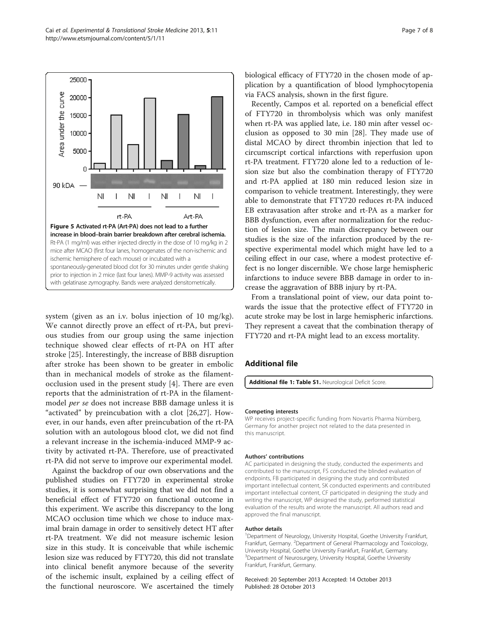system (given as an i.v. bolus injection of 10 mg/kg). We cannot directly prove an effect of rt-PA, but previous studies from our group using the same injection technique showed clear effects of rt-PA on HT after stroke [\[25](#page-7-0)]. Interestingly, the increase of BBB disruption after stroke has been shown to be greater in embolic than in mechanical models of stroke as the filamentocclusion used in the present study [\[4](#page-7-0)]. There are even reports that the administration of rt-PA in the filamentmodel per se does not increase BBB damage unless it is "activated" by preincubation with a clot [\[26](#page-7-0),[27](#page-7-0)]. However, in our hands, even after preincubation of the rt-PA solution with an autologous blood clot, we did not find a relevant increase in the ischemia-induced MMP-9 activity by activated rt-PA. Therefore, use of preactivated rt-PA did not serve to improve our experimental model.

Against the backdrop of our own observations and the published studies on FTY720 in experimental stroke studies, it is somewhat surprising that we did not find a beneficial effect of FTY720 on functional outcome in this experiment. We ascribe this discrepancy to the long MCAO occlusion time which we chose to induce maximal brain damage in order to sensitively detect HT after rt-PA treatment. We did not measure ischemic lesion size in this study. It is conceivable that while ischemic lesion size was reduced by FTY720, this did not translate into clinical benefit anymore because of the severity of the ischemic insult, explained by a ceiling effect of the functional neuroscore. We ascertained the timely

biological efficacy of FTY720 in the chosen mode of application by a quantification of blood lymphocytopenia via FACS analysis, shown in the first figure.

Recently, Campos et al. reported on a beneficial effect of FTY720 in thrombolysis which was only manifest when rt-PA was applied late, i.e. 180 min after vessel occlusion as opposed to 30 min [[28\]](#page-7-0). They made use of distal MCAO by direct thrombin injection that led to circumscript cortical infarctions with reperfusion upon rt-PA treatment. FTY720 alone led to a reduction of lesion size but also the combination therapy of FTY720 and rt-PA applied at 180 min reduced lesion size in comparison to vehicle treatment. Interestingly, they were able to demonstrate that FTY720 reduces rt-PA induced EB extravasation after stroke and rt-PA as a marker for BBB dysfunction, even after normalization for the reduction of lesion size. The main discrepancy between our studies is the size of the infarction produced by the respective experimental model which might have led to a ceiling effect in our case, where a modest protective effect is no longer discernible. We chose large hemispheric infarctions to induce severe BBB damage in order to increase the aggravation of BBB injury by rt-PA.

From a translational point of view, our data point towards the issue that the protective effect of FTY720 in acute stroke may be lost in large hemispheric infarctions. They represent a caveat that the combination therapy of FTY720 and rt-PA might lead to an excess mortality.

#### Additional file

[Additional file 1: Table S1.](http://www.biomedcentral.com/content/supplementary/2040-7378-5-11-S1.docx) Neurological Deficit Score.

#### Competing interests

WP receives project-specific funding from Novartis Pharma Nürnberg, Germany for another project not related to the data presented in this manuscript.

#### Authors' contributions

AC participated in designing the study, conducted the experiments and contributed to the manuscript, FS conducted the blinded evaluation of endpoints, FB participated in designing the study and contributed important intellectual content, SK conducted experiments and contributed important intellectual content, CF participated in designing the study and writing the manuscript, WP designed the study, performed statistical evaluation of the results and wrote the manuscript. All authors read and approved the final manuscript.

#### Author details

<sup>1</sup>Department of Neurology, University Hospital, Goethe University Frankfurt Frankfurt, Germany. <sup>2</sup>Department of General Pharmacology and Toxicology, University Hospital, Goethe University Frankfurt, Frankfurt, Germany. <sup>3</sup>Department of Neurosurgery, University Hospital, Goethe University Frankfurt, Frankfurt, Germany.

Received: 20 September 2013 Accepted: 14 October 2013 Published: 28 October 2013

<span id="page-6-0"></span>